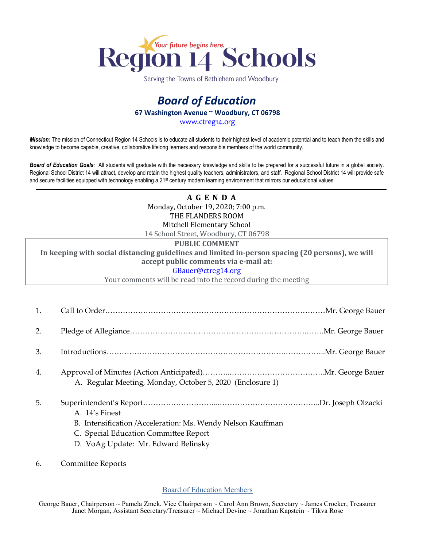

Serving the Towns of Bethlehem and Woodbury

## *Board of Education* **67 Washington Avenue ~ Woodbury, CT 06798**

[www.ctreg14.org](http://www.ctreg14.org/)

*Mission:* The mission of Connecticut Region 14 Schools is to educate all students to their highest level of academic potential and to teach them the skills and knowledge to become capable, creative, collaborative lifelong learners and responsible members of the world community.

*Board of Education Goals:* All students will graduate with the necessary knowledge and skills to be prepared for a successful future in a global society. Regional School District 14 will attract, develop and retain the highest quality teachers, administrators, and staff. Regional School District 14 will provide safe and secure facilities equipped with technology enabling a 21<sup>st</sup> century modern learning environment that mirrors our educational values.

> **A G E N D A** Monday, October 19, 2020; 7:00 p.m. THE FLANDERS ROOM Mitchell Elementary School 14 School Street, Woodbury, CT 06798

## **PUBLIC COMMENT**

**In keeping with social distancing guidelines and limited in-person spacing (20 persons), we will accept public comments via e-mail at:**

## [GBauer@ctreg14.org](mailto:GBauer@ctreg14.org)

Your comments will be read into the record during the meeting

- 1. Call to Order……………………………………………………………………………Mr. George Bauer
- 2. Pledge of Allegiance…………………………………………………………….…….Mr. George Bauer
- 3. Introductions…………………………………………………………….……………..Mr. George Bauer
- 4. Approval of Minutes (Action Anticipated)………..………………………………..Mr. George Bauer A. Regular Meeting, Monday, October 5, 2020 (Enclosure 1)
- 5. Superintendent's Report………………………...…………………………………..Dr. Joseph Olzacki A. 14's Finest B. Intensification /Acceleration: Ms. Wendy Nelson Kauffman
	- C. Special Education Committee Report
	- D. VoAg Update: Mr. Edward Belinsky
- 6. Committee Reports

## Board of Education Members

George Bauer, Chairperson ~ Pamela Zmek, Vice Chairperson ~ Carol Ann Brown, Secretary ~ James Crocker, Treasurer Janet Morgan, Assistant Secretary/Treasurer ~ Michael Devine ~ Jonathan Kapstein ~ Tikva Rose